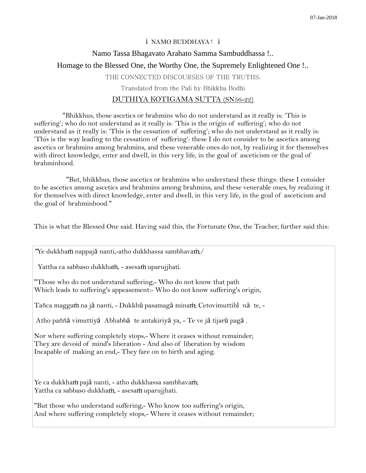# i NAMO BUDDHAYA ! i

### Namo Tassa Bhagavato Arahato Samma Sambuddhassa !..

## Homage to the Blessed One, the Worthy One, the Supremely Enlightened One !..

THE CONNECTED DISCOURSES OF THE TRUTHS.

Translated from the Pali by Bhikkhu Bodhi

### DUTHIYA KOTIGAMA SUTTA (SN56-22)

 "Bhikkhus, those ascetics or brahmins who do not understand as it really is: 'This is suffering'; who do not understand as it really is: 'This is the origin of suffering'; who do not understand as it really is: 'This is the cessation of suffering'; who do not understand as it really is: 'This is the way leading to the cessation of suffering': these I do not consider to be ascetics among ascetics or brahmins among brahmins, and these venerable ones do not, by realizing it for themselves with direct knowledge, enter and dwell, in this very life, in the goal of asceticism or the goal of brahminhood.

 "But, bhikkhus, those ascetics or brahmins who understand these things: these I consider to be ascetics among ascetics and brahmins among brahmins, and these venerable ones, by realizing it for themselves with direct knowledge, enter and dwell, in this very life, in the goal of asceticism and the goal of brahminhood."

This is what the Blessed One said. Having said this, the Fortunate One, the Teacher, further said this:

*"*Ye dukkhaṁ nappajā nanti,-atho dukkhassa sambhavaṁ;/

Yattha ca sabbaso dukkhaṁ, - asesaṁ uparujjhati.

"Those who do not understand suffering,- Who do not know that path Which leads to suffering's appeasement:- Who do not know suffering's origin,

Tañca maggaṁ na jā nanti, - Dukkhū pasamagā minaṁ; Cetovimuttihī nā te, -

Atho paññā vimuttiyā Abhabbā te antakiriyā ya, - Te ve jā tijarū pagā .

Nor where suffering completely stops,- Where it ceases without remainder; They are devoid of mind's liberation - And also of liberation by wisdom Incapable of making an end,- They fare on to birth and aging.

Ye ca dukkhaṁ pajā nanti, - atho dukkhassa sambhavaṁ; Yattha ca sabbaso dukkhaṁ, - asesaṁ uparujjhati.

"But those who understand suffering,- Who know too suffering's origin, And where suffering completely stops,- Where it ceases without remainder;